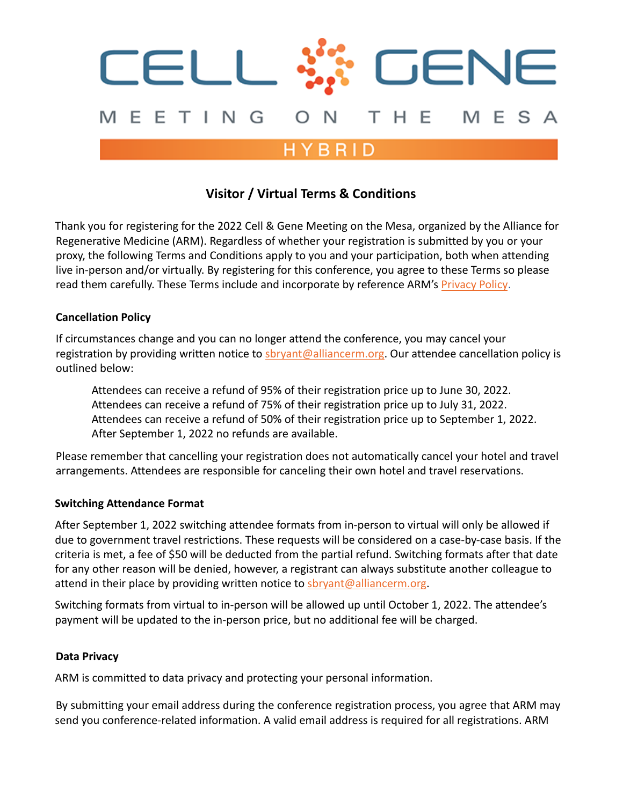

# **Visitor / Virtual Terms & Conditions**

Thank you for registering for the 2022 Cell & Gene Meeting on the Mesa, organized by the Alliance for Regenerative Medicine (ARM). Regardless of whether your registration is submitted by you or your proxy, the following Terms and Conditions apply to you and your participation, both when attending live in-person and/or virtually. By registering for this conference, you agree to these Terms so please read them carefully. These Terms include and incorporate by reference ARM's [Privacy Policy](https://alliancerm.org/privacy-statement/).

#### **Cancellation Policy**

If circumstances change and you can no longer attend the conference, you may cancel your registration by providing written notice to [sbryant@alliancerm.org.](mailto:sbryant@alliancerm.org) Our attendee cancellation policy is outlined below:

Attendees can receive a refund of 95% of their registration price up to June 30, 2022. Attendees can receive a refund of 75% of their registration price up to July 31, 2022. Attendees can receive a refund of 50% of their registration price up to September 1, 2022. After September 1, 2022 no refunds are available.

Please remember that cancelling your registration does not automatically cancel your hotel and travel arrangements. Attendees are responsible for canceling their own hotel and travel reservations.

#### **Switching Attendance Format**

After September 1, 2022 switching attendee formats from in-person to virtual will only be allowed if due to government travel restrictions. These requests will be considered on a case-by-case basis. If the criteria is met, a fee of \$50 will be deducted from the partial refund. Switching formats after that date for any other reason will be denied, however, a registrant can always substitute another colleague to attend in their place by providing written notice to [sbryant@alliancerm.org](mailto:sbryant@alliancerm.org).

Switching formats from virtual to in-person will be allowed up until October 1, 2022. The attendee's payment will be updated to the in-person price, but no additional fee will be charged.

#### **Data Privacy**

ARM is committed to data privacy and protecting your personal information.

By submitting your email address during the conference registration process, you agree that ARM may send you conference-related information. A valid email address is required for all registrations. ARM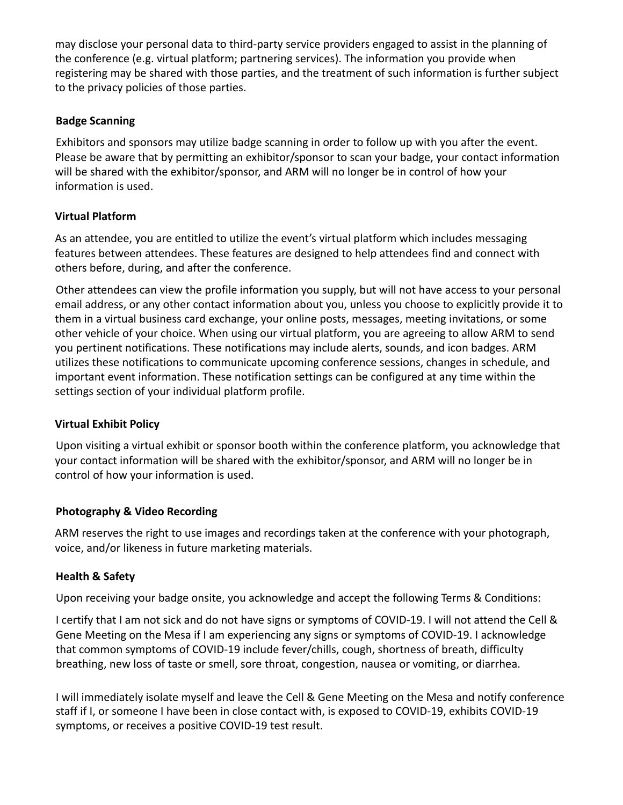may disclose your personal data to third-party service providers engaged to assist in the planning of the conference (e.g. virtual platform; partnering services). The information you provide when registering may be shared with those parties, and the treatment of such information is further subject to the privacy policies of those parties.

## **Badge Scanning**

Exhibitors and sponsors may utilize badge scanning in order to follow up with you after the event. Please be aware that by permitting an exhibitor/sponsor to scan your badge, your contact information will be shared with the exhibitor/sponsor, and ARM will no longer be in control of how your information is used.

## **Virtual Platform**

As an attendee, you are entitled to utilize the event's virtual platform which includes messaging features between attendees. These features are designed to help attendees find and connect with others before, during, and after the conference.

Other attendees can view the profile information you supply, but will not have access to your personal email address, or any other contact information about you, unless you choose to explicitly provide it to them in a virtual business card exchange, your online posts, messages, meeting invitations, or some other vehicle of your choice. When using our virtual platform, you are agreeing to allow ARM to send you pertinent notifications. These notifications may include alerts, sounds, and icon badges. ARM utilizes these notifications to communicate upcoming conference sessions, changes in schedule, and important event information. These notification settings can be configured at any time within the settings section of your individual platform profile.

#### **Virtual Exhibit Policy**

Upon visiting a virtual exhibit or sponsor booth within the conference platform, you acknowledge that your contact information will be shared with the exhibitor/sponsor, and ARM will no longer be in control of how your information is used.

# **Photography & Video Recording**

ARM reserves the right to use images and recordings taken at the conference with your photograph, voice, and/or likeness in future marketing materials.

# **Health & Safety**

Upon receiving your badge onsite, you acknowledge and accept the following Terms & Conditions:

I certify that I am not sick and do not have signs or symptoms of COVID-19. I will not attend the Cell & Gene Meeting on the Mesa if I am experiencing any signs or symptoms of COVID-19. I acknowledge that common symptoms of COVID-19 include fever/chills, cough, shortness of breath, difficulty breathing, new loss of taste or smell, sore throat, congestion, nausea or vomiting, or diarrhea.

I will immediately isolate myself and leave the Cell & Gene Meeting on the Mesa and notify conference staff if I, or someone I have been in close contact with, is exposed to COVID-19, exhibits COVID-19 symptoms, or receives a positive COVID-19 test result.